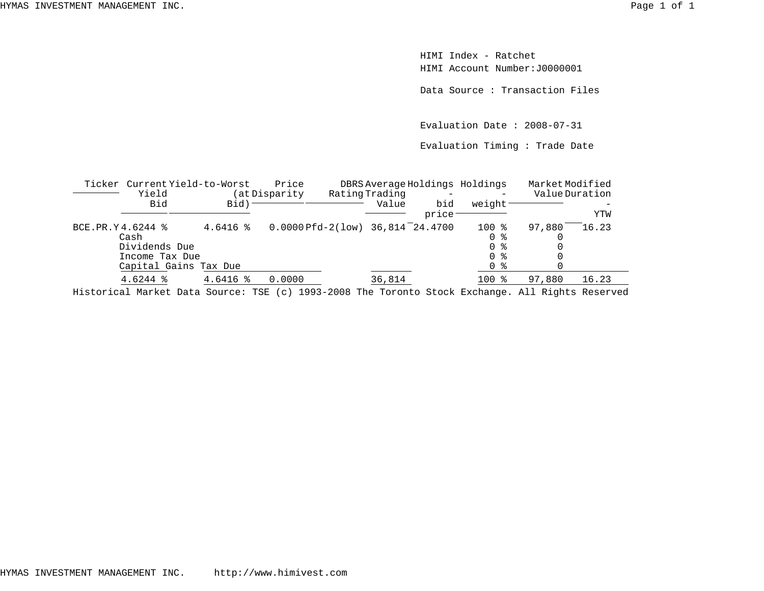HIMI Index - RatchetHIMI Account Number:J0000001

Data Source : Transaction Files

Evaluation Date : 2008-07-31

Evaluation Timing : Trade Date

|                  | Ticker Current Yield-to-Worst |            | Price                             |  |                         |        | DBRS Average Holdings Holdings | MarketModified |       |
|------------------|-------------------------------|------------|-----------------------------------|--|-------------------------|--------|--------------------------------|----------------|-------|
|                  | Yield<br>Bid                  | Bid)       | (at Disparity)                    |  | Rating Trading<br>Value | bid    | -<br>weight                    | Value Duration |       |
|                  |                               |            |                                   |  |                         | price: |                                |                | YTW   |
| BCE.PR.Y4.6244 % |                               | $4.6416$ % | $0.0000Pfd-2(1ow)$ 36,814 24.4700 |  |                         |        | $100*$                         | 97,880         | 16.23 |
|                  | Cash                          |            |                                   |  |                         |        | 0 %                            |                |       |
|                  | Dividends Due                 |            |                                   |  |                         |        | 0 %                            |                |       |
|                  | Income Tax Due                |            |                                   |  |                         |        | 0 %                            |                |       |
|                  | Capital Gains Tax Due         |            |                                   |  |                         |        | 0 %                            |                |       |
|                  | $4.6244$ %                    | 4.6416 %   | 0.0000                            |  | 36,814                  |        | $100$ %                        | 97,880         | 16.23 |
|                  |                               |            |                                   |  |                         |        |                                |                |       |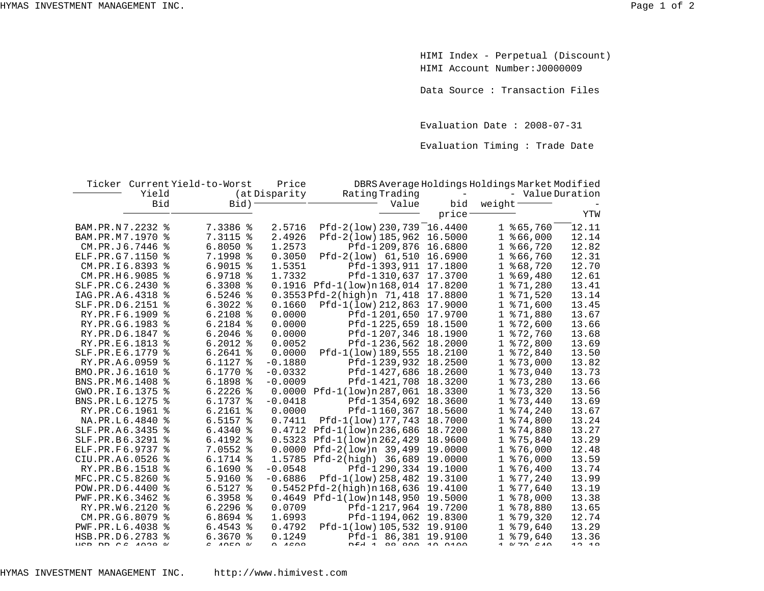HIMI Index - Perpetual (Discount) HIMI Account Number:J0000009

Data Source : Transaction Files

Evaluation Date : 2008-07-31

Evaluation Timing : Trade Date

|                                   |            | Ticker Current Yield-to-Worst | Price         |                                 |                    | DBRS Average Holdings Holdings Market Modified |                  |
|-----------------------------------|------------|-------------------------------|---------------|---------------------------------|--------------------|------------------------------------------------|------------------|
|                                   | Yield      |                               | (at Disparity | Rating Trading                  | $\equiv$           |                                                | - Value Duration |
|                                   | <b>Bid</b> | $Bid$ ) =                     |               | Value                           | bid                | weight                                         |                  |
|                                   |            |                               |               |                                 | price <sup>-</sup> |                                                | YTW              |
| BAM.PR.N7.2232 %                  |            | 7.3386 %                      | 2.5716        | $Pfd-2(low)$ 230, 739 $16.4400$ |                    | $1$ $% 65,760$                                 | 12.11            |
| BAM.PR.M7.1970                    | ిన         | 7.3115<br>ిం                  | 2.4926        | Pfd-2(low) 185,962              | 16.5000            | $1$ $%66,000$                                  | 12.14            |
| CM.PR.J6.7446                     | ፠          | 6.8050<br>နွ                  | 1.2573        | Pfd-1209,876                    | 16.6800            | 1 % 66,720                                     | 12.82            |
| ELF.PR.G7.1150                    | ႜ          | 7.1998<br>နွ                  | 0.3050        | $Pfd-2(low)$ 61,510             | 16.6900            | 1 % 66,760                                     | 12.31            |
| CM.PR.I6.8393                     | ႜ          | 6.9015<br>နွ                  | 1.5351        | Pfd-1393,911                    | 17.1800            | 1 % 68,720                                     | 12.70            |
| CM.PR.H6.9085                     | ႜ          | 6.9718<br>ႜ                   | 1.7332        | Pfd-1310,637                    | 17.3700            | $1$ $$69,480$                                  | 12.61            |
| SLF.PR.C6.2430                    | ႜ          | 6.3308<br>နွ                  |               | $0.1916$ Pfd-1(low)n168,014     | 17.8200            | $1$ $$71,280$                                  | 13.41            |
| IAG.PR.A6.4318                    | ፠          | 6.5246<br>ႜ                   |               | $0.3553Pfd-2(hiqh)n 71,418$     | 17.8800            | $1$ $871,520$                                  | 13.14            |
| SLF.PR.D6.2151                    | ႜ          | 6.3022<br>ిన                  | 0.1660        | Pfd-1(low) 212,863              | 17.9000            | $1$ $871,600$                                  | 13.45            |
| RY.PR.F6.1909                     | ႜ          | 6.2108<br>ႜ                   | 0.0000        | Pfd-1201,650                    | 17.9700            | 1 % 71,880                                     | 13.67            |
| RY.PR.G6.1983                     | ႜ          | 6.2184<br>ႜ                   | 0.0000        | Pfd-1225,659                    | 18.1500            | $1$ $872.600$                                  | 13.66            |
| RY.PR.D6.1847                     | ႜ          | 6.2046<br>ႜ                   | 0.0000        | Pfd-1207,346                    | 18.1900            | 1 % 72,760                                     | 13.68            |
| RY.PR.E6.1813                     | ႜ          | 6.2012<br>ႜ                   | 0.0052        | Pfd-1236,562                    | 18.2000            | $1$ $$72,800$                                  | 13.69            |
| SLF. PR. E 6.1779                 | °          | 6.2641<br>ిన                  | 0.0000        | Pfd-1(low) 189,555              | 18.2100            | 1 % 72,840                                     | 13.50            |
| RY.PR.A6.0959                     | ిన         | 6.1127<br>ిన                  | $-0.1880$     | Pfd-1239,932                    | 18.2500            | $1$ $$73,000$                                  | 13.82            |
| BMO.PR.J6.1610                    | ႜ          | 6.1770<br>ిన                  | $-0.0332$     | Pfd-1427,686                    | 18.2600            | $1$ $$73,040$                                  | 13.73            |
| BNS.PR.M6.1408                    | ిన         | 6.1898<br>ႜ                   | $-0.0009$     | Pfd-1421,708                    | 18.3200            | 1 %73,280                                      | 13.66            |
| GWO.PR.I6.1375                    | ႜ          | 6.2226<br>ႜ                   |               | $0.0000$ $Pfd-1(low)n 287,061$  | 18.3300            | 1 % 73, 320                                    | 13.56            |
| BNS.PR.L6.1275                    | ిన         | 6.1737<br>ႜ                   | $-0.0418$     | Pfd-1354,692                    | 18.3600            | $1$ $873,440$                                  | 13.69            |
| RY.PR.C6.1961 %                   |            | 6.2161<br>ఄ                   | 0.0000        | Pfd-1160,367                    | 18.5600            | 1 %74,240                                      | 13.67            |
| NA.PR.L6.4840                     | ႜ          | 6.5157<br>ႜ                   | 0.7411        | Pfd-1(low) 177,743              | 18.7000            | 1 %74,800                                      | 13.24            |
| SLF.PR.A6.3435                    | ፠          | 6.4340<br>ిన                  | 0.4712        | Pfd-1(low)n236,686              | 18.7200            | 1 % 74,880                                     | 13.27            |
| SLF.PR.B6.3291                    | ႜ          | 6.4192<br>ႜ                   | 0.5323        | Pfd-1(low)n 262, 429            | 18.9600            | 1 % 75,840                                     | 13.29            |
| ELF.PR.F6.9737                    | နွ         | 7.0552<br>ఄ                   | 0.0000        | Pfd-2(low)n 39,499              | 19,0000            | 1 % 76,000                                     | 12.48            |
| CIU.PR.A6.0526                    | ႜ          | 6.1714<br>နွ                  | 1.5785        | Pfd-2(high) 36,689              | 19,0000            | 1 % 76,000                                     | 13.59            |
| RY.PR.B6.1518                     | ႜ          | 6.1690<br>နွ                  | $-0.0548$     | Pfd-1290,334                    | 19.1000            | $1$ $876,400$                                  | 13.74            |
| MFC.PR.C5.8260                    | °≈         | 5.9160<br>ిన                  | $-0.6886$     | Pfd-1(low) 258,482              | 19.3100            | $1$ $$77,240$                                  | 13.99            |
| POW.PR.D6.4400                    | ႜ          | 6.5127<br>ႜ                   |               | $0.5452Pfd-2(hiqh)n168,636$     | 19.4100            | $1$ $$77,640$                                  | 13.19            |
| PWF.PR.K6.3462                    | ፠          | 6.3958<br>ႜ                   |               | $0.4649$ Pfd-1(low)n148,950     | 19.5000            | $1$ $$78,000$                                  | 13.38            |
| RY.PR.W6.2120                     | ႜ          | 6.2296<br>ႜ                   | 0.0709        | Pfd-1217,964                    | 19.7200            | 1 %78,880                                      | 13.65            |
| CM.PR.G6.8079                     | °          | 6.8694<br>ႜ                   | 1.6993        | Pfd-1194,062                    | 19.8300            | 1 %79,320                                      | 12.74            |
| PWF.PR.L6.4038                    |            | 6.4543<br>ႜ                   | 0.4792        | Pfd-1(low) 105,532              | 19.9100            | $1$ $$79,640$                                  | 13.29            |
| HSB.PR.D6.2783 %                  |            | $6.3670$ $%$                  | 0.1249        | Pfd-1 86,381                    | 19.9100            | 1 %79,640                                      | 13.36            |
| $TITCD$ $DID$ $C$ $A$ $D20$ $0$ . |            | $C$ $A$ $A$ $D$ $D$ $D$ $D$ . | 0.100         | ned 1 00 000 10 0100            |                    | $1 0.70 710$                                   | 12.10            |

HYMAS INVESTMENT MANAGEMENT INC. http://www.himivest.com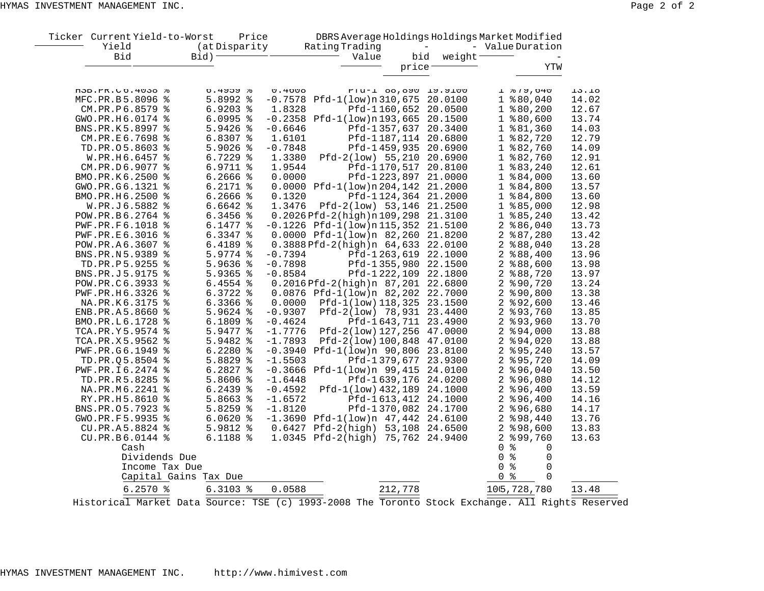|                  |            | Ticker Current Yield-to-Worst |                        | Price |           |                                         |         |                          |                       |                | DBRS Average Holdings Holdings Market Modified |       |
|------------------|------------|-------------------------------|------------------------|-------|-----------|-----------------------------------------|---------|--------------------------|-----------------------|----------------|------------------------------------------------|-------|
| Yield            |            |                               | (at Disparity          |       |           | Rating Trading                          |         | $\overline{\phantom{a}}$ |                       |                | - ValueDuration                                |       |
| Bid              |            | $Bid$ ) $-$                   |                        |       |           | Value                                   |         | bid                      | weight                |                |                                                |       |
|                  |            |                               |                        |       |           |                                         |         | price                    |                       |                | YTW                                            |       |
| HSB.PR.C0.4038 8 |            |                               | 0.4959 8               |       | U.4008    |                                         |         |                          | LIA-T 99'9AN TA'ATON  |                | 1 6 / Y , 0 4 U                                | 13.18 |
| MFC.PR.B5.8096 % |            |                               | 5.8992 %               |       |           | $-0.7578$ Pfd-1(low)n 310,675 20.0100   |         |                          |                       |                | $1$ $$80,040$                                  | 14.02 |
| CM.PR.P6.8579 %  |            |                               | $6.9203$ %             |       | 1.8328    |                                         |         |                          | Pfd-1160,652 20.0500  |                | $1$ $$80,200$                                  | 12.67 |
| GWO.PR.H6.0174 % |            |                               | $6.0995$ %             |       |           | $-0.2358$ Pfd-1(low)n193,665 20.1500    |         |                          |                       |                | $1$ $$80,600$                                  | 13.74 |
| BNS.PR.K5.8997 % |            |                               | 5.9426 %               |       | $-0.6646$ |                                         |         |                          | Pfd-1357,637 20.3400  |                | 1 % 81, 360                                    | 14.03 |
| CM.PR.E6.7698 %  |            |                               | $6.8307$ %             |       | 1.6101    |                                         |         |                          | Pfd-1187,114 20.6800  |                | 1 % 82,720                                     | 12.79 |
| TD.PR.05.8603 %  |            |                               | $5.9026$ %             |       | $-0.7848$ |                                         |         |                          | Pfd-1459,935 20.6900  |                | 1 % 82,760                                     | 14.09 |
| W.PR.H6.6457 %   |            |                               | $6.7229$ %             |       |           | 1.3380 Pfd-2(low) 55,210 20.6900        |         |                          |                       |                | 1 % 82,760                                     | 12.91 |
| CM.PR.D6.9077 %  |            |                               | 6.9711 %               |       | 1.9544    |                                         |         |                          | Pfd-1170,517 20.8100  |                | 1 % 83, 240                                    | 12.61 |
| BMO.PR.K6.2500 % |            |                               | $6.2666$ %             |       | 0.0000    |                                         |         |                          | Pfd-1223,897 21.0000  |                | $1$ $$84,000$                                  | 13.60 |
| GWO.PR.G6.1321 % |            |                               | 6.2171 %               |       |           | 0.0000 Pfd-1(low)n 204, 142 21.2000     |         |                          |                       |                | 1 % 84,800                                     | 13.57 |
| BMO.PR.H6.2500 % |            |                               | $6.2666$ %             |       | 0.1320    |                                         |         |                          | Pfd-1124,364 21.2000  |                | 1 % 84,800                                     | 13.60 |
| W.PR.J6.5882 %   |            |                               | $6.6642$ %             |       | 1.3476    | Pfd-2(low) 53,146 21.2500               |         |                          |                       |                | $1$ $85,000$                                   | 12.98 |
| POW.PR.B6.2764 % |            |                               | $6.3456$ %             |       |           | 0.2026 Pfd-2(high) n 109, 298 21.3100   |         |                          |                       |                | $1$ $885,240$                                  | 13.42 |
| PWF.PR.F6.1018 % |            |                               | 6.1477 %               |       |           | $-0.1226$ Pfd-1(low)n115,352 21.5100    |         |                          |                       |                | $2$ $%86,040$                                  | 13.73 |
| PWF.PR.E6.3016 % |            |                               | $6.3347$ %             |       |           | 0.0000 Pfd-1(low)n 82,260 21.8200       |         |                          |                       |                | 2 % 87, 280                                    | 13.42 |
| POW.PR.A6.3607 % |            |                               | $6.4189$ %             |       |           | 0.3888 Pfd-2(high)n 64,633 22.0100      |         |                          |                       |                | $2$ $%88,040$                                  | 13.28 |
| BNS.PR.N5.9389 % |            |                               | 5.9774 %               |       | $-0.7394$ |                                         |         |                          | Pfd-1263,619 22.1000  |                | $2$ $%88,400$                                  | 13.96 |
| TD.PR.P5.9255 %  |            |                               | $5.9636$ %             |       | $-0.7898$ |                                         |         |                          | Pfd-1355,980 22.1500  |                | $2$ $%88,600$                                  | 13.98 |
| BNS.PR.J5.9175 % |            |                               | 5.9365 %               |       | $-0.8584$ |                                         |         |                          | Pfd-1222,109 22.1800  |                | 2 % 88,720                                     | 13.97 |
| POW.PR.C6.3933 % |            |                               | $6.4554$ $\frac{8}{3}$ |       |           | 0.2016 Pfd-2(high)n 87,201 22.6800      |         |                          |                       |                | 2 % 90, 720                                    | 13.24 |
| PWF.PR.H6.3326 % |            |                               | $6.3722$ %             |       |           | 0.0876 Pfd-1(low)n 82,202 22.7000       |         |                          |                       |                | $2$ $% 90,800$                                 | 13.38 |
| NA.PR.K6.3175 %  |            |                               | $6.3366$ %             |       |           | $0.0000$ $Pfd-1(low)$ 118,325 23.1500   |         |                          |                       |                | $2$ $% 92,600$                                 | 13.46 |
| ENB.PR.A5.8660 % |            |                               | 5.9624 %               |       |           | $-0.9307$ Pfd $-2(low)$ 78,931 23.4400  |         |                          |                       |                | 2 % 93,760                                     | 13.85 |
| BMO.PR.L6.1728 % |            |                               | $6.1809$ %             |       | $-0.4624$ |                                         |         |                          | Pfd-1643,711 23.4900  |                | 2 893,960                                      | 13.70 |
| TCA.PR.Y5.9574 % |            |                               | 5.9477 %               |       | $-1.7776$ | Pfd-2(low) 127, 256 47.0000             |         |                          |                       |                | $2$ $%94,000$                                  | 13.88 |
| TCA.PR.X5.9562 % |            |                               | 5.9482 %               |       | $-1.7893$ | Pfd-2(low)100,848 47.0100               |         |                          |                       |                | 2 % 94,020                                     | 13.88 |
| PWF.PR.G6.1949 % |            |                               | $6.2280$ %             |       |           | $-0.3940$ Pfd $-1(1ow)n$ 90,806 23.8100 |         |                          |                       |                | 2 % 95, 240                                    | 13.57 |
| TD.PR.05.8504 %  |            |                               | 5.8829 %               |       | $-1.5503$ |                                         |         |                          | Pfd-1379,677 23.9300  |                | 2 % 95,720                                     | 14.09 |
| PWF.PR.I6.2474 % |            |                               | $6.2827$ %             |       |           | $-0.3666$ Pfd $-1(low)n$ 99,415 24.0100 |         |                          |                       |                | 2 % 96, 040                                    | 13.50 |
| TD.PR.R5.8285 %  |            |                               | 5.8606 %               |       | $-1.6448$ |                                         |         |                          | Pfd-1639,176 24.0200  |                | 2 % 96,080                                     | 14.12 |
| NA.PR.M6.2241 %  |            |                               | $6.2439$ %             |       | $-0.4592$ | Pfd-1(low) 432,189 24.1000              |         |                          |                       |                | $2$ $%96,400$                                  | 13.59 |
| RY.PR.H5.8610 %  |            |                               | 5.8663 %               |       | $-1.6572$ |                                         |         |                          | Pfd-1613, 412 24.1000 |                | $2$ $%96,400$                                  | 14.16 |
| BNS.PR.05.7923 % |            |                               | $5.8259$ %             |       | $-1.8120$ |                                         |         |                          | Pfd-1370,082 24.1700  |                | 2 % 96,680                                     | 14.17 |
| GWO.PR.F5.9935 % |            |                               | $6.0620$ %             |       |           | $-1.3690$ Pfd-1(low)n 47,442 24.6100    |         |                          |                       |                | 2898,440                                       | 13.76 |
| CU.PR.A5.8824 %  |            |                               | 5.9812 %               |       |           | 0.6427 Pfd-2(high) 53,108 24.6500       |         |                          |                       |                | 2 % 98,600                                     | 13.83 |
| CU.PR.B6.0144 %  |            |                               | $6.1188$ %             |       |           | 1.0345 Pfd-2(high) 75,762 24.9400       |         |                          |                       |                | 2 % 99,760                                     | 13.63 |
|                  | Cash       |                               |                        |       |           |                                         |         |                          |                       | 0 <sup>8</sup> | 0                                              |       |
|                  |            | Dividends Due                 |                        |       |           |                                         |         |                          |                       | 0 <sup>8</sup> | $\mathbf 0$                                    |       |
|                  |            | Income Tax Due                |                        |       |           |                                         |         |                          |                       | 0 <sup>8</sup> | $\mathbf 0$                                    |       |
|                  |            | Capital Gains Tax Due         |                        |       |           |                                         |         |                          |                       | 0 <sup>8</sup> | $\mathbf 0$                                    |       |
|                  | $6.2570$ % |                               | $6.3103$ %             |       | 0.0588    |                                         | 212,778 |                          |                       |                | 105,728,780                                    | 13.48 |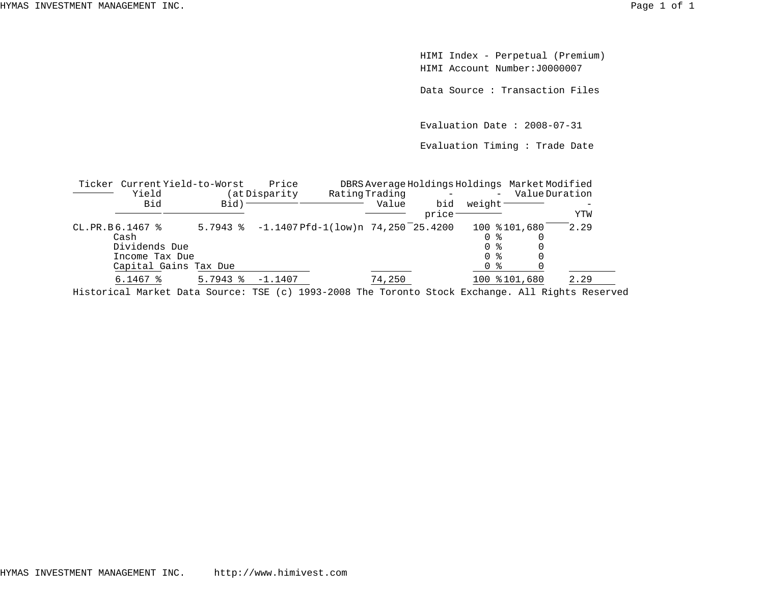HIMI Index - Perpetual (Premium) HIMI Account Number:J0000007

Data Source : Transaction Files

Evaluation Date : 2008-07-31

Evaluation Timing : Trade Date

|                   | Ticker Current Yield-to-Worst                                                                                   |              | Price                                       |                |        |        | DBRS Average Holdings Holdings Market Modified |                |
|-------------------|-----------------------------------------------------------------------------------------------------------------|--------------|---------------------------------------------|----------------|--------|--------|------------------------------------------------|----------------|
|                   | Yield                                                                                                           |              | (at Disparity                               | Rating Trading |        |        | $-$                                            | Value Duration |
|                   | Bid                                                                                                             | Bid)         |                                             | Value          | bid    | weight |                                                |                |
|                   |                                                                                                                 |              |                                             |                | price: |        |                                                | YTW            |
| $CL.PR.B6.1467$ % |                                                                                                                 |              | 5.7943 % -1.1407 Pfd-1(low)n 74,250 25.4200 |                |        |        | 100 %101,680                                   | 2.29           |
|                   | Cash                                                                                                            |              |                                             |                |        | 0 %    |                                                |                |
|                   | Dividends Due                                                                                                   |              |                                             |                |        | 0 %    |                                                |                |
|                   | Income Tax Due                                                                                                  |              |                                             |                |        | 0 %    |                                                |                |
|                   | Capital Gains Tax Due                                                                                           |              |                                             |                |        | 0 %    |                                                |                |
|                   | $6.1467$ %                                                                                                      | 5.7943<br>°≈ | $-1.1407$                                   | 74,250         |        |        | 100 \$101,680                                  | 2.29           |
|                   | the contract of the contract of the contract of the contract of the contract of the contract of the contract of |              |                                             |                |        |        |                                                |                |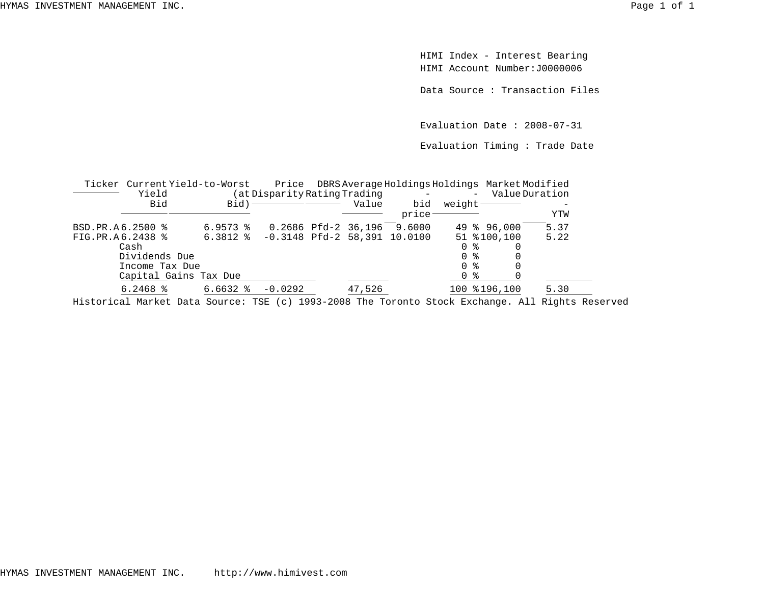HIMI Index - Interest Bearing HIMI Account Number:J0000006

Data Source : Transaction Files

Evaluation Date : 2008-07-31

Evaluation Timing : Trade Date

|                        |       |                |                                                             |                               |              |        |                                                                                                                          | - Value Duration |                                                                                                     |  |
|------------------------|-------|----------------|-------------------------------------------------------------|-------------------------------|--------------|--------|--------------------------------------------------------------------------------------------------------------------------|------------------|-----------------------------------------------------------------------------------------------------|--|
| Bid                    |       |                |                                                             |                               | Value<br>bid |        | weight <sup>-</sup>                                                                                                      |                  |                                                                                                     |  |
|                        |       |                |                                                             |                               |              | price: |                                                                                                                          |                  | YTW                                                                                                 |  |
| BSD.PR.A6.2500 %       |       |                |                                                             |                               |              |        |                                                                                                                          |                  | 5.37                                                                                                |  |
| FIG.PR.A6.2438 %       |       |                |                                                             |                               |              |        |                                                                                                                          |                  | 5.22                                                                                                |  |
| Cash                   |       |                |                                                             |                               |              |        |                                                                                                                          |                  |                                                                                                     |  |
| Dividends Due          |       |                |                                                             |                               |              |        | 0 ፦                                                                                                                      |                  |                                                                                                     |  |
|                        |       |                |                                                             |                               |              |        | 0 %                                                                                                                      |                  |                                                                                                     |  |
|                        |       |                |                                                             |                               |              |        | 0 %                                                                                                                      |                  |                                                                                                     |  |
| $6.2468$ $\frac{8}{3}$ |       |                | $-0.0292$                                                   |                               | 47,526       |        |                                                                                                                          |                  | 5.30                                                                                                |  |
|                        | Yield | Income Tax Due | Bid)<br>$6.9573$ 8<br>Capital Gains Tax Due<br>$6.6632$ $%$ | Ticker Current Yield-to-Worst |              |        | (at Disparity Rating Trading Translerich Fig. 10)<br>0.2686 Pfd-2 36,196 9.6000<br>6.3812 % -0.3148 Pfd-2 58,391 10.0100 |                  | Price DBRS Average Holdings Holdings Market Modified<br>49 % 96,000<br>51 %100,100<br>100 \$196,100 |  |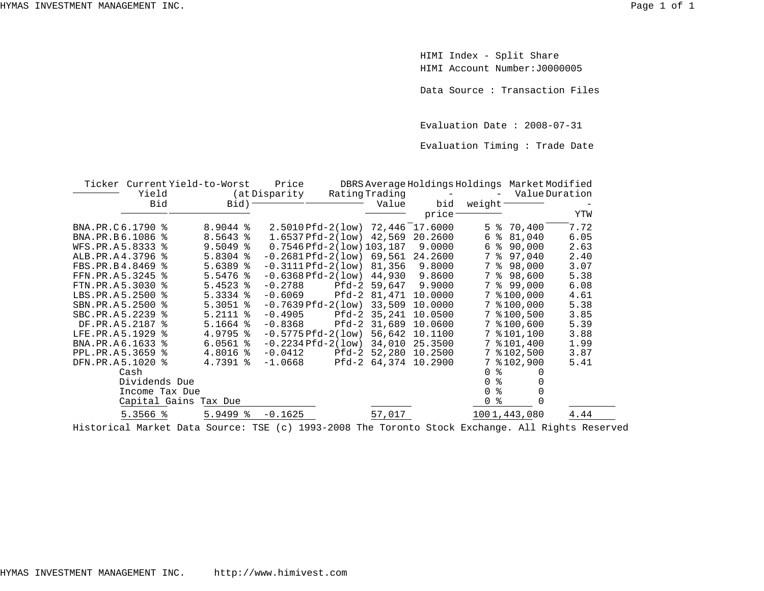HIMI Index - Split Share HIMI Account Number:J0000005

Data Source : Transaction Files

Evaluation Date : 2008-07-31

Evaluation Timing : Trade Date

|                  |               |                | Ticker Current Yield-to-Worst | Price                           |                           |                |         |             | DBRS Average Holdings Holdings Market Modified |                |
|------------------|---------------|----------------|-------------------------------|---------------------------------|---------------------------|----------------|---------|-------------|------------------------------------------------|----------------|
|                  | Yield         |                |                               | (at Disparity                   |                           | Rating Trading |         |             |                                                | Value Duration |
|                  | Bid           |                | $Bid$ ) =                     |                                 |                           | Value          | bid     | weight      |                                                |                |
|                  |               |                |                               |                                 |                           |                | price   |             |                                                | YTW            |
| BNA.PR.C6.1790 % |               |                | $8.9044$ %                    |                                 | 2.5010 Pfd-2(low) 72,446  |                | 17.6000 | 5           | 70,400<br>ႜ                                    | 7.72           |
| BNA.PR.B6.1086 % |               |                | $8.5643$ $%$                  |                                 | 1.6537 Pfd-2(low) 42,569  |                | 20.2600 | 6           | ႜ<br>81,040                                    | 6.05           |
| WFS.PR.A5.8333 % |               |                | $9.5049$ %                    |                                 | $0.7546Pfd-2(low)103,187$ |                | 9.0000  | 6           | 90,000<br>ႜ                                    | 2.63           |
| ALB.PR.A4.3796 % |               |                | $5.8304$ %                    | $-0.2681Pfd-2(low)$ 69,561      |                           |                | 24.2600 | $7^{\circ}$ | ್ಠಿ<br>97,040                                  | 2.40           |
| FBS.PR.B4.8469 % |               |                | $5.6389$ $8$                  | $-0.3111Pfd-2(low)$ 81,356      |                           |                | 9.8000  | 7           | 98,000<br>ႜ                                    | 3.07           |
| FFN.PR.A5.3245 % |               |                | $5.5476$ %                    | $-0.6368$ Pfd $-2(1$ ow) 44,930 |                           |                | 9.8600  | $7^{\circ}$ | ႜ<br>98,600                                    | 5.38           |
| FTN.PR.A5.3030 % |               |                | $5.4523$ $8$                  | $-0.2788$                       |                           | Pfd-2 59,647   | 9.9000  | 7           | ႜ<br>99,000                                    | 6.08           |
| LBS.PR.A5.2500 % |               |                | $5.3334$ $8$                  | $-0.6069$                       |                           | Pfd-2 81,471   | 10.0000 |             | 7 %100,000                                     | 4.61           |
| SBN.PR.A5.2500 % |               |                | $5.3051$ %                    | $-0.7639Pfd-2(low)$             |                           | 33,509         | 10.0000 |             | 7 %100,000                                     | 5.38           |
| SBC.PR.A5.2239 % |               |                | $5.2111$ $8$                  | $-0.4905$                       |                           | Pfd-2 35,241   | 10.0500 |             | 7 %100,500                                     | 3.85           |
| DF.PR.A5.2187 %  |               |                | $5.1664$ %                    | $-0.8368$                       | $Pfd-2$                   | 31,689         | 10.0600 |             | 7 %100,600                                     | 5.39           |
| LFE.PR.A5.1929 % |               |                | 4.9795 %                      | $-0.5775$ Pfd $-2(1$ ow)        |                           | 56,642         | 10.1100 |             | 7 %101,100                                     | 3.88           |
| BNA.PR.A6.1633 % |               |                | $6.0561$ %                    | $-0.2234Pfd-2(low)$ 34,010      |                           |                | 25.3500 |             | 7 % 101, 400                                   | 1.99           |
| PPL.PR.A5.3659 % |               |                | 4.8016 %                      | $-0.0412$                       |                           | Pfd-2 52,280   | 10.2500 |             | 7 % 102,500                                    | 3.87           |
| DFN.PR.A5.1020 % |               |                | 4.7391 %                      | $-1.0668$                       |                           | Pfd-2 64,374   | 10.2900 |             | 7 %102,900                                     | 5.41           |
|                  | Cash          |                |                               |                                 |                           |                |         | 0           | ిన                                             |                |
|                  | Dividends Due |                |                               |                                 |                           |                |         | 0           | ిం                                             |                |
|                  |               | Income Tax Due |                               |                                 |                           |                |         | 0           | ఄ                                              |                |
|                  |               |                | Capital Gains Tax Due         |                                 |                           |                |         |             | ిం                                             |                |
|                  | 5.3566 %      |                | 5.9499 %                      | $-0.1625$                       |                           | 57,017         |         |             | 1001,443,080                                   | 4.44           |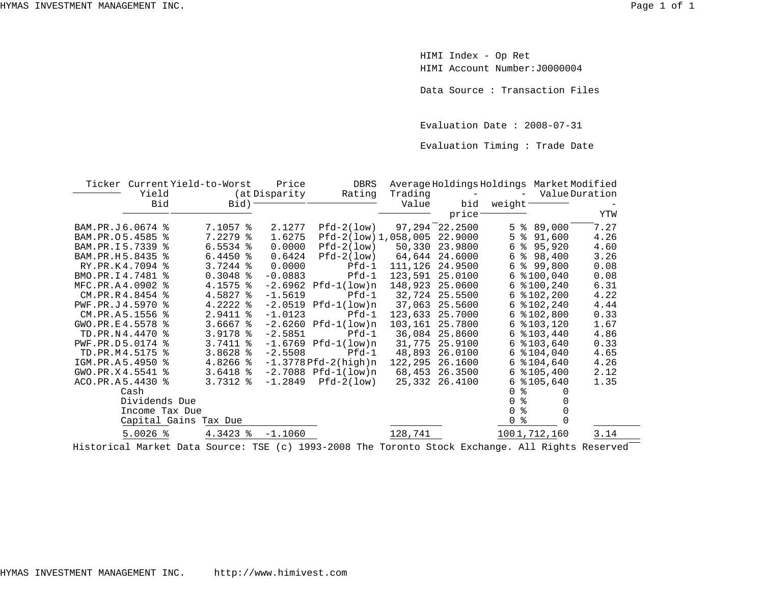HIMI Index - Op Ret HIMI Account Number:J0000004

Data Source : Transaction Files

Evaluation Date : 2008-07-31

Evaluation Timing : Trade Date

|                  | Ticker Current Yield-to-Worst |                | Price                  | DBRS           |                            | Average Holdings Holdings |                 | MarketModified      |                          |                |
|------------------|-------------------------------|----------------|------------------------|----------------|----------------------------|---------------------------|-----------------|---------------------|--------------------------|----------------|
|                  | Yield                         |                |                        | (at Disparity) | Rating                     | Trading                   |                 |                     |                          | Value Duration |
|                  | Bid                           |                | $Bid$ ) -              |                |                            | Value                     | bid             | weight <sup>-</sup> |                          |                |
|                  |                               |                |                        |                |                            |                           | price           |                     |                          | YTW            |
| BAM.PR.J6.0674 % |                               |                | $7.1057$ %             | 2.1277         | $Pfd-2(low)$               |                           | 97,294 22.2500  |                     | $5$ $\frac{6}{3}$ 89,000 | 7.27           |
| BAM.PR.05.4585 % |                               |                | $7.2279$ $\frac{8}{5}$ | 1.6275         | $Pfd-2(low)1,058,005$      |                           | 22.9000         | 5                   | \$91,600                 | 4.26           |
| BAM.PR.I5.7339 % |                               |                | $6.5534$ $%$           | 0.0000         | $Pfd-2(low)$               |                           | 50,330 23.9800  | 6                   | 895,920                  | 4.60           |
| BAM.PR.H5.8435 % |                               |                | $6.4450$ %             | 0.6424         | $Pfd-2(1ow)$               |                           | 64,644 24.6000  | 6                   | \$98,400                 | 3.26           |
| RY.PR.K4.7094 %  |                               |                | $3.7244$ $8$           | 0.0000         | $Pfd-1$                    |                           | 111,126 24.9500 | 6                   | 899,800                  | 0.08           |
| BMO.PR.I4.7481 % |                               |                | $0.3048$ %             | $-0.0883$      | $Pfd-1$                    |                           | 123,591 25.0100 | 6                   | $\$100,040$              | 0.08           |
| MFC.PR.A4.0902 % |                               |                | $4.1575$ $\frac{6}{5}$ |                | $-2.6962$ Pfd $-1(low)n$   | 148,923                   | 25.0600         | 6                   | \$100,240                | 6.31           |
| CM.PR.R4.8454 %  |                               |                | 4.5827 %               | $-1.5619$      | $Pfd-1$                    |                           | 32,724 25.5500  | 6                   | %102,200                 | 4.22           |
| PWF.PR.J4.5970 % |                               |                | $4.2222$ $\approx$     |                | $-2.0519$ Pfd $-1(low)n$   |                           | 37,063 25.5600  |                     | $6$ $$102,240$           | 4.44           |
| CM.PR.A5.1556 %  |                               |                | 2.9411 %               | $-1.0123$      | $Pfd-1$                    |                           | 123,633 25.7000 | 6                   | \$102,800                | 0.33           |
| GWO.PR.E4.5578 % |                               |                | $3.6667$ $\frac{8}{3}$ |                | $-2.6260$ Pfd $-1(low)n$   | 103,161                   | 25.7800         | 6                   | %103,120                 | 1.67           |
| TD.PR.N4.4470 %  |                               |                | $3.9178$ %             | $-2.5851$      | Pfd-1                      |                           | 36,084 25.8600  |                     | $6$ $$103,440$           | 4.86           |
| PWF.PR.D5.0174 % |                               |                | $3.7411$ %             | $-1.6769$      | $Pfd-1(low)n$              | 31,775                    | 25.9100         |                     | $6$ $$103,640$           | 0.33           |
| TD.PR.M4.5175 %  |                               |                | $3.8628$ %             | $-2.5508$      | $Pfd-1$                    |                           | 48,893 26.0100  | 6                   | $\$104,040$              | 4.65           |
| IGM.PR.A5.4950 % |                               |                | $4.8266$ %             |                | $-1.3778$ Pfd $-2$ (high)n |                           | 122,295 26.1600 |                     | $6$ $$104,640$           | 4.26           |
| GWO.PR.X4.5541 % |                               |                | $3.6418$ %             |                | $-2.7088$ Pfd $-1(low)n$   |                           | 68,453 26.3500  |                     | $6$ $$105,400$           | 2.12           |
| ACO.PR.A5.4430 % |                               |                | $3.7312$ $\frac{8}{3}$ | $-1.2849$      | Pfd-2(low)                 |                           | 25,332 26.4100  |                     | $6$ $$105,640$           | 1.35           |
|                  | Cash                          |                |                        |                |                            |                           |                 | ႜ<br>$\Omega$       | $\Omega$                 |                |
|                  | Dividends Due                 |                |                        |                |                            |                           |                 | ఄ                   |                          |                |
|                  |                               | Income Tax Due |                        |                |                            |                           |                 | %<br>$\Omega$       | $\Omega$                 |                |
|                  |                               |                | Capital Gains Tax Due  |                |                            |                           |                 | ి<br>0              |                          |                |
|                  | $5.0026$ %                    |                | 4.3423 %               | $-1.1060$      |                            | 128,741                   |                 |                     | 1001,712,160             | 3.14           |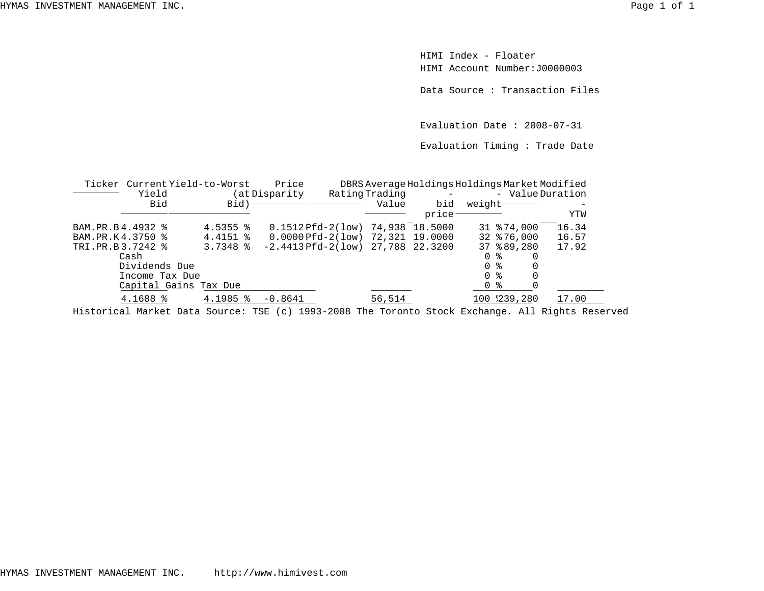HIMI Index - FloaterHIMI Account Number:J0000003

Data Source : Transaction Files

Evaluation Date : 2008-07-31

Evaluation Timing : Trade Date

|                  |                       | Ticker Current Yield-to-Worst |                                    | DBRS Average Holdings Holdings Market Modified |       |                     |                 |       |  |  |  |
|------------------|-----------------------|-------------------------------|------------------------------------|------------------------------------------------|-------|---------------------|-----------------|-------|--|--|--|
|                  | Yield                 |                               | (at Disparity)                     | Rating Trading                                 |       |                     | - ValueDuration |       |  |  |  |
|                  | Bid                   | Bid)                          |                                    | Value                                          | bid   | weight <sup>-</sup> |                 |       |  |  |  |
|                  |                       |                               |                                    |                                                | price |                     |                 | YTW   |  |  |  |
| BAM.PR.B4.4932 % |                       | $4.5355$ $\frac{6}{5}$        | $0.1512Pfd-2(low)$ 74,938 18.5000  |                                                |       |                     | 31 % 74,000     | 16.34 |  |  |  |
| BAM.PR.K4.3750 % |                       | $4.4151$ %                    | $0.0000Pfd-2(1ow) 72,321 19.0000$  |                                                |       |                     | 32 \$76,000     | 16.57 |  |  |  |
| TRI.PR.B3.7242 % |                       | $3.7348$ $*$                  | $-2.4413Pfd-2(low)$ 27,788 22.3200 |                                                |       |                     | 37 889,280      | 17.92 |  |  |  |
|                  | Cash                  |                               |                                    |                                                |       |                     |                 |       |  |  |  |
|                  | Dividends Due         |                               |                                    |                                                |       |                     |                 |       |  |  |  |
|                  | Income Tax Due        |                               |                                    |                                                |       |                     |                 |       |  |  |  |
|                  | Capital Gains Tax Due |                               |                                    |                                                |       | 0 %                 |                 |       |  |  |  |
|                  | $4.1688$ %            | 4.1985 %                      | $-0.8641$                          | 56,514                                         |       |                     | 100 239,280     | 17.00 |  |  |  |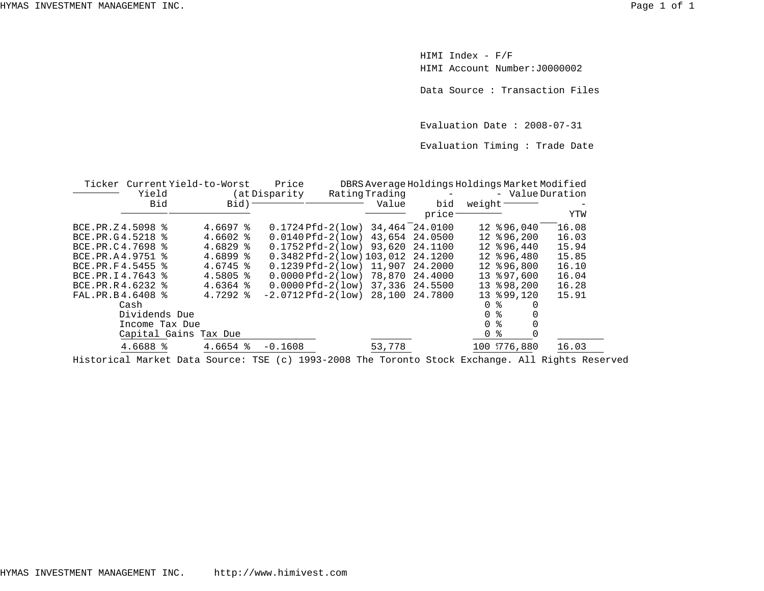HIMI Index - F/F HIMI Account Number:J0000002

Data Source : Transaction Files

Evaluation Date : 2008-07-31

Evaluation Timing : Trade Date

|                  | Ticker Current Yield-to-Worst |                        | Price                             | DBRS Average Holdings Holdings Market Modified |                |                    |                      |       |  |  |
|------------------|-------------------------------|------------------------|-----------------------------------|------------------------------------------------|----------------|--------------------|----------------------|-------|--|--|
|                  | Yield                         |                        | (at Disparity                     |                                                | Rating Trading |                    | - Value Duration     |       |  |  |
|                  | Bid                           | Bid)                   |                                   |                                                | Value          | bid                | weight <sup>-</sup>  |       |  |  |
|                  |                               |                        |                                   |                                                |                | price <sup>-</sup> |                      | YTW   |  |  |
| BCE.PR.Z4.5098 % |                               | $4.6697$ $*$           | $0.1724Pfd-2(low)$                |                                                |                | 34,464 24.0100     | 12 896,040           | 16.08 |  |  |
| BCE.PR.G4.5218 % |                               | $4.6602$ $\frac{8}{3}$ | $0.0140Pfd-2(low)$ 43,654 24.0500 |                                                |                |                    | 12 896,200           | 16.03 |  |  |
| BCE.PR.C4.7698 % |                               | $4.6829$ $*$           | $0.1752Pfd-2(low)$ 93,620         |                                                |                | 24.1100            | 12 896.440           | 15.94 |  |  |
| BCE.PR.A4.9751 % |                               | $4.6899$ $%$           | $0.3482Pfd-2(low)103,012$         |                                                |                | 24.1200            | 12 896,480           | 15.85 |  |  |
| BCE.PR.F4.5455 % |                               | $4.6745$ %             | $0.1239Pfd-2(low)$                |                                                | 11,907         | 24.2000            | 12 896,800           | 16.10 |  |  |
| BCE.PR.I4.7643 % |                               | $4.5805$ %             | $0.0000Pfd-2(low)$ 78,870         |                                                |                | 24.4000            | 13 897,600           | 16.04 |  |  |
| BCE.PR.R4.6232 % |                               | $4.6364$ %             | $0.0000Pfd-2(low)$ 37,336 24.5500 |                                                |                |                    | 13 898,200           | 16.28 |  |  |
| FAL.PR.B4.6408 % |                               | $4.7292$ $8$           | $-2.0712Pfd-2(low)$               |                                                | 28,100         | 24.7800            | 13 899,120           | 15.91 |  |  |
|                  | Cash                          |                        |                                   |                                                |                |                    | $\Omega$<br>°        |       |  |  |
|                  | Dividends Due                 |                        |                                   |                                                |                |                    | နွ<br>$\overline{0}$ |       |  |  |
|                  | Income Tax Due                |                        |                                   |                                                |                |                    | 0 %                  |       |  |  |
|                  | Capital Gains Tax Due         |                        |                                   |                                                |                |                    | $\mathbf{0}$<br>ႜ    |       |  |  |
|                  | 4.6688 %                      | 4.6654 %               | $-0.1608$                         |                                                | 53,778         |                    | 100 776,880          | 16.03 |  |  |
|                  |                               |                        |                                   |                                                |                |                    |                      |       |  |  |